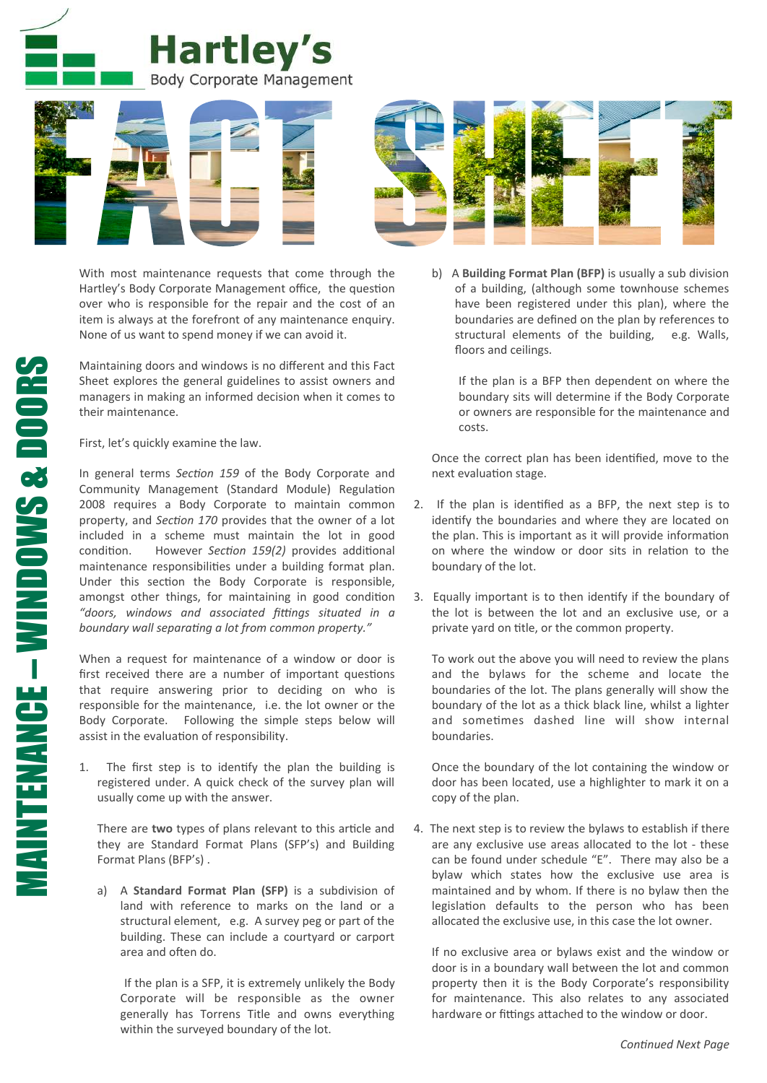



With most maintenance requests that come through the Hartley's Body Corporate Management office, the question over who is responsible for the repair and the cost of an item is always at the forefront of any maintenance enquiry. None of us want to spend money if we can avoid it.

Maintaining doors and windows is no different and this Fact Sheet explores the general guidelines to assist owners and managers in making an informed decision when it comes to their maintenance.

First, let's quickly examine the law.

In general terms Section 159 of the Body Corporate and Community Management (Standard Module) Regulation 2008 requires a Body Corporate to maintain common property, and *Section 170* provides that the owner of a lot included in a scheme must maintain the lot in good condition. However *Section 159(2)* provides additional maintenance responsibilities under a building format plan. Under this section the Body Corporate is responsible, amongst other things, for maintaining in good condition "doors, windows and associated fittings situated in a boundary wall separating a lot from common property."

When a request for maintenance of a window or door is first received there are a number of important questions that require answering prior to deciding on who is responsible for the maintenance, i.e. the lot owner or the Body Corporate. Following the simple steps below will assist in the evaluation of responsibility.

1. The first step is to identify the plan the building is registered under. A quick check of the survey plan will usually come up with the answer.

There are **two** types of plans relevant to this article and they are Standard Format Plans (SFP's) and Building Format Plans (BFP's).

a) A **Standard Format Plan (SFP)** is a subdivision of land with reference to marks on the land or a structural element, e.g. A survey peg or part of the building. These can include a courtyard or carport area and often do.

If the plan is a SFP, it is extremely unlikely the Body Corporate will be responsible as the owner generally has Torrens Title and owns everything within the surveyed boundary of the lot.

b) A **Building Format Plan (BFP)** is usually a sub division of a building, (although some townhouse schemes have been registered under this plan), where the boundaries are defined on the plan by references to structural elements of the building, e.g. Walls, floors and ceilings.

If the plan is a BFP then dependent on where the boundary sits will determine if the Body Corporate or owners are responsible for the maintenance and costs. 

Once the correct plan has been identified, move to the next evaluation stage.

- 2. If the plan is identified as a BFP, the next step is to identify the boundaries and where they are located on the plan. This is important as it will provide information on where the window or door sits in relation to the boundary of the lot.
- 3. Equally important is to then identify if the boundary of the lot is between the lot and an exclusive use, or a private yard on title, or the common property.

To work out the above you will need to review the plans and the bylaws for the scheme and locate the boundaries of the lot. The plans generally will show the boundary of the lot as a thick black line, whilst a lighter and sometimes dashed line will show internal boundaries. 

Once the boundary of the lot containing the window or door has been located, use a highlighter to mark it on a copy of the plan.

4. The next step is to review the bylaws to establish if there are any exclusive use areas allocated to the lot - these can be found under schedule "E". There may also be a bylaw which states how the exclusive use area is maintained and by whom. If there is no bylaw then the legislation defaults to the person who has been allocated the exclusive use, in this case the lot owner.

If no exclusive area or bylaws exist and the window or door is in a boundary wall between the lot and common property then it is the Body Corporate's responsibility for maintenance. This also relates to any associated hardware or fittings attached to the window or door.